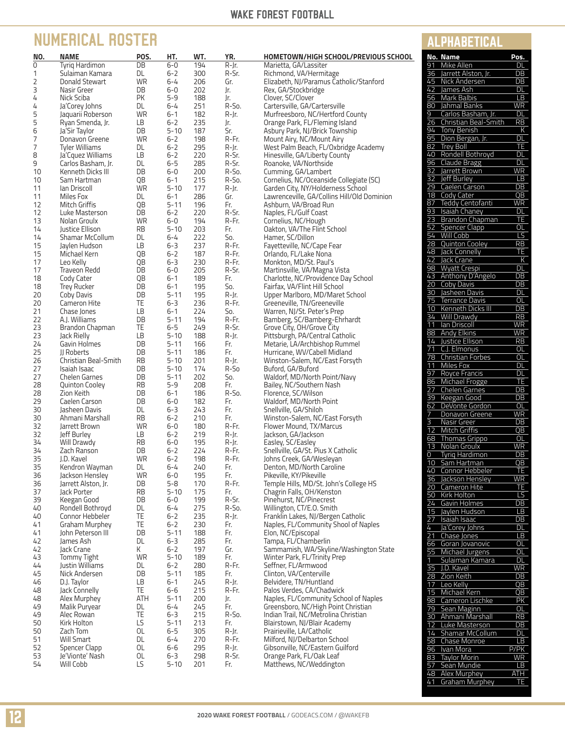### WAKE FOREST FOOTBALL

**ALPHABETICAL** 

41 Graham Murphey TE

# **NUMERICAL ROSTER**

| NO.      | <b>NAME</b>                             | POS.            | HT.                  | WT.        | YR.            | HOMETOWN/HIGH SCHOOL/PREVIOUS SCHOOL                              | No. Name                                        | Pos.                               |
|----------|-----------------------------------------|-----------------|----------------------|------------|----------------|-------------------------------------------------------------------|-------------------------------------------------|------------------------------------|
| 0        | Tyrig Hardimon                          | DB              | $6-0$                | 194        | R-Jr.          | Marietta, GA/Lassiter                                             | Mike Allen<br>91                                | DL                                 |
| 1        | Sulaiman Kamara                         | DL              | $6 - 2$              | 300        | R-Sr.          | Richmond, VA/Hermitage                                            | 36<br>Jarrett Alston, Jr.                       | DB                                 |
| 2        | Donald Stewart                          | WR              | $6 - 4$              | 206        | Gr.            | Elizabeth, NJ/Paramus Catholic/Stanford                           | 45 Nick Andersen                                | DB                                 |
| 3        | Nasir Greer                             | DB              | $6 - 0$              | 202        | Jr.            | Rex, GA/Stockbridge                                               | 42<br>James Ash                                 | DL                                 |
| 4        | Nick Sciba                              | PK              | $5 - 9$              | 188        | Jr.            | Clover, SC/Clover                                                 | Mark Balbis<br>56                               | LB                                 |
| 4        | Ja'Corey Johns                          | DL              | $6 - 4$              | 251        | R-So.          | Cartersville, GA/Cartersville                                     | Jahmal Banks<br>80                              | <b>WR</b>                          |
| 5        | Jaquarii Roberson                       | WR              | $6 - 1$              | 182        | R-Jr.          | Murfreesboro, NC/Hertford County                                  | 9<br>Carlos Basham, Jr.                         | DL                                 |
| 5        | Ryan Smenda, Jr.                        | LВ              | $6 - 2$              | 235        | Jr.            | Orange Park, FL/Fleming Island                                    | $\overline{26}$<br>Christian Beal-Smith         | RB                                 |
| 6        | Ja'Sir Taylor                           | DB              | $5 - 10$             | 187        | Sr.<br>R-Fr.   | Asbury Park, NJ/Brick Township                                    | <b>Tony Benish</b><br>94<br>95 Dion Bergan, Jr. | К<br>DL                            |
| 7<br>7   | Donavon Greene<br><b>Tyler Williams</b> | <b>WR</b><br>DL | $6 - 2$<br>$6 - 2$   | 198<br>295 | R-Jr.          | Mount Airy, NC/Mount Airy<br>West Palm Beach, FL/Oxbridge Academy | 82 Trey Boll                                    | TE                                 |
| 8        | Ja'Cquez Williams                       | <b>LB</b>       | $6 - 2$              | 220        | R-Sr.          | Hinesville, GA/Liberty County                                     | 40 Rondell Bothroyd                             | <b>DL</b>                          |
| 9        | Carlos Basham, Jr.                      | DL              | $6 - 5$              | 285        | R-Sr.          | Roanoke, VA/Northside                                             | 96 Claude Bragg                                 | <b>DL</b>                          |
| 10       | Kenneth Dicks III                       | DB              | $6-0$                | 200        | R-So.          | Cumming, GA/Lambert                                               | 32 Jarrett Brown                                | <b>WR</b>                          |
| 10       | Sam Hartman                             | QB              | $6 - 1$              | 215        | R-So.          | Cornelius, NC/Oceanside Collegiate (SC)                           | Jeff Burley<br>32                               | LB                                 |
| 11       | lan Driscoll                            | <b>WR</b>       | $5 - 10$             | 177        | R-Jr.          | Garden City, NY/Holderness School                                 | Caelen Carson<br>29                             | DB                                 |
| 11       | Miles Fox                               | DL              | $6 - 1$              | 286        | Gr.            | Lawrenceville, GA/Collins Hill/Old Dominion                       | Cody Cater<br>18                                | QB                                 |
| 12       | Mitch Griffis                           | QB              | $5 - 11$             | 196        | Fr.            | Ashburn, VA/Broad Run                                             | Teddy Centofanti<br>87                          | <b>WR</b>                          |
| 12       | Luke Masterson                          | DB              | $6 - 2$              | 220        | R-Sr.          | Naples, FL/Gulf Coast                                             | 93<br>Isaiah Chaney                             | <b>DL</b>                          |
| 13       | Nolan Groulx                            | WR              | $6-0$                | 194        | R-Fr.          | Cornelius, NC/Hough                                               | Brandon Chapman<br>23<br>52<br>Spencer Clapp    | TE<br>OL                           |
| 14       | Justice Ellison                         | RB              | $5 - 10$             | 203        | Fr.            | Oakton, VA/The Flint School                                       | 54 Will Cobb                                    | LS                                 |
| 14       | Shamar McCollum<br>Jaylen Hudson        | DL<br><b>LB</b> | $6 - 4$              | 222        | So.<br>R-Fr.   | Hamer, SC/Dillon                                                  | 28 Quinton Cooley                               | RB                                 |
| 15<br>15 | Michael Kern                            | QB              | $6 - 3$<br>6-2       | 237<br>187 | R-Fr.          | Fayetteville, NC/Cape Fear<br>Orlando, FL/Lake Nona               | 48 Jack Connelly                                | TE                                 |
| 17       | Leo Kelly                               | QB              | $6 - 3$              | 230        | R-Fr.          | Monkton, MD/St. Paul's                                            | 42 Jack Crane                                   | К                                  |
| 17       | Traveon Redd                            | DB              | $6-0$                | 205        | R-Sr.          | Martinsville, VA/Magna Vista                                      | 98 Wyatt Crespi                                 | <b>DL</b>                          |
| 18       | Cody Cater                              | QB              | $6 - 1$              | 189        | Fr.            | Charlotte, NC/Providence Day School                               | 43 Anthony D'Angelo                             | DB                                 |
| 18       | <b>Trey Rucker</b>                      | DB              | $6 - 1$              | 195        | So.            | Fairfax, VA/Flint Hill School                                     | 20 Coby Davis                                   | $\overline{DB}$                    |
| 20       | Coby Davis                              | DB              | $5 - 11$             | 195        | R-Jr.          | Upper Marlboro, MD/Maret School                                   | 30 Jasheen Davis                                | DL                                 |
| 20       | Cameron Hite                            | TE              | $6 - 3$              | 236        | R-Fr.          | Greeneville, TN/Greeneville                                       | 75<br>Terrance Davis                            | OL                                 |
| 21       | Chase Jones                             | <b>LB</b>       | $6 - 1$              | 224        | So.            | Warren, NJ/St. Peter's Prep                                       | Kenneth Dicks III<br>10<br>34 Will Drawdy       | $\overline{DB}$                    |
| 22       | A.J. Williams                           | DB              | $5 - 11$             | 194        | R-Fr.          | Bamberg, SC/Bamberg-Ehrhardt                                      | Ian Driscoll<br>11                              | RB<br><b>WR</b>                    |
| 23       | Brandon Chapman                         | TE              | $6 - 5$              | 249        | R-Sr.          | Grove City, OH/Grove City                                         | 88 Andy Elkins                                  | <b>WR</b>                          |
| 23       | Jack Rielly                             | <b>LB</b>       | $5 - 10$             | 188        | R-Jr.          | Pittsburgh, PA/Central Catholic                                   | 14 Justice Ellison                              | $\overline{RB}$                    |
| 24<br>25 | Gavin Holmes<br>II Roberts              | DB<br>DB        | $5 - 11$<br>$5 - 11$ | 166<br>186 | Fr.<br>Fr.     | Metarie, LA/Archbishop Rummel<br>Hurricane, WV/Cabell Midland     | 71<br>C.J. Elmonus                              | OL                                 |
| 26       | Christian Beal-Smith                    | <b>RB</b>       | $5 - 10$             | 201        | R-Jr.          | Winston-Salem, NC/East Forsyth                                    | 78 Christian Forbes                             | OL                                 |
| 27       | Isaiah Isaac                            | DB              | $5 - 10$             | 174        | R-So           | Buford, GA/Buford                                                 | 11<br>Miles Fox                                 | DL                                 |
| 27       | <b>Chelen Garnes</b>                    | DB              | $5 - 11$             | 202        | So.            | Waldorf, MD/North Point/Navy                                      | Royce Francis<br>97                             | <b>DL</b>                          |
| 28       | <b>Quinton Cooley</b>                   | <b>RB</b>       | $5 - 9$              | 208        | Fr.            | Bailey, NC/Southern Nash                                          | 86 Michael Frogge                               | TE                                 |
| 28       | Zion Keith                              | DB              | $6 - 1$              | 186        | R-So.          | Florence, SC/Wilson                                               | 27 Chelen Garnes                                | $\overline{DB}$<br>$\overline{DB}$ |
| 29       | Caelen Carson                           | DB              | $6-0$                | 182        | Fr.            | Waldorf, MD/North Point                                           | 39 Keegan Good<br>DeVonte Gordon<br>62          | <b>OL</b>                          |
| 30       | Jasheen Davis                           | DL              | $6 - 3$              | 243        | Fr.            | Snellville, GA/Shiloh                                             | 7<br>Donavon Greene                             | <b>WR</b>                          |
| 30       | Ahmani Marshall                         | <b>RB</b>       | $6 - 2$              | 210        | Fr.            | Winston-Salem, NC/East Forsyth                                    | $\overline{3}$<br>Nasir Greer                   | $\overline{DB}$                    |
| 32       | Jarrett Brown                           | <b>WR</b>       | $6-0$                | 180        | R-Fr.          | Flower Mound, TX/Marcus                                           | <b>Mitch Griffis</b><br>12                      | QB                                 |
| 32<br>34 | Jeff Burley                             | LВ              | $6 - 2$<br>$6-0$     | 219        | R-Jr.          | Jackson, GA/Jackson                                               | 68<br>Thomas Grippo                             | OL                                 |
| 34       | Will Drawdy<br>Zach Ranson              | RB<br>DB        | $6 - 2$              | 195<br>224 | R-Jr.<br>R-Fr. | Easley, SC/Easley<br>Snellville, GA/St. Pius X Catholic           | Nolan Groulx<br>13                              | WR                                 |
| 35       | J.D. Kavel                              | WR              | $6 - 2$              | 198        | R-Fr.          | Johns Creek, GA/Wesleyan                                          | 0<br>Tyrig Hardimon                             | DB                                 |
| 35       | Kendron Wayman                          | DL              | $6 - 4$              | 240        | Fr.            | Denton, MD/North Caroline                                         | 10 Sam Hartman                                  | $\overline{QB}$                    |
| 36       | Jackson Hensley                         | WR              | 6-0                  | 195        | Fr.            | Pikeville, KY/Pikeville                                           | Connor Hebbeler<br>40                           | TE                                 |
| 36       | Jarrett Alston, Jr.                     | DB              | 5-8                  | 170        | R-Fr.          | Temple Hills, MD/St. John's College HS                            | 36<br>Jackson Hensley<br>20 Cameron Hite        | <b>WR</b><br>TE                    |
| 37       | Jack Porter                             | <b>RB</b>       | $5 - 10$             | 175        | Fr.            | Chagrin Falls, OH/Kenston                                         | 50 Kirk Holton                                  | $\overline{LS}$                    |
| 39       | Keegan Good                             | DB              | 6-0                  | 199        | R-Sr.          | Pinehurst, NC/Pinecrest                                           | 24 Gavin Holmes                                 | DB                                 |
| 40       | Rondell Bothroyd                        | DL              | 6-4                  | 275        | R-So.          | Willington, CT/E.O. Smith                                         | 15 Jaylen Hudson                                | $\overline{LB}$                    |
| 40       | Connor Hebbeler                         | TE              | $6 - 2$              | 235        | R-Jr.          | Franklin Lakes, NJ/Bergen Catholic                                | Isaiah Isaac<br>27                              | $\overline{DB}$                    |
| 41       | <b>Graham Murphey</b>                   | TE              | 6-2                  | 230        | Fr.            | Naples, FL/Community Shool of Naples                              | Ja'Corey Johns<br>4                             | DL                                 |
| 41       | John Peterson III<br>James Ash          | DB<br>DL        | $5 - 11$<br>$6 - 3$  | 188<br>285 | Fr.<br>Fr.     | Elon, NC/Episcopal<br>Tampa, FL/Chamberlin                        | $\overline{21}$<br>Chase Jones                  | LB                                 |
| 42<br>42 | Jack Crane                              | К               | $6 - 2$              | 197        | Gr.            | Sammamish, WA/Skyline/Washington State                            | 66<br>Goran Jovanovic                           | OL                                 |
| 43       | <b>Tommy Tight</b>                      | <b>WR</b>       | $5 - 10$             | 189        | Fr.            | Winter Park, FL/Trinity Prep                                      | Michael Jurgens<br>55                           | OL                                 |
| 44       | Justin Williams                         | DL              | $6 - 2$              | 280        | R-Fr.          | Seffner, FL/Armwood                                               | Sulaiman Kamara<br>1<br>35 J.D. Kavel           | <b>DL</b>                          |
| 45       | Nick Andersen                           | DB              | $5 - 11$             | 185        | Fr.            | Clinton, VA/Centerville                                           | 28 Zion Keith                                   | <b>WR</b><br>DB                    |
| 46       | D.J. Taylor                             | LВ              | $6 - 1$              | 245        | R-Jr.          | Belvidere, TN/Huntland                                            | Leo Kelly<br>17                                 | QB                                 |
| 48       | Jack Connelly                           | TE              | 6-6                  | 215        | R-Fr.          | Palos Verdes, CA/Chadwick                                         | Michael Kern<br>15                              | QB                                 |
| 48       | Alex Murphey                            | ATH             | $5 - 11$             | 200        | Jr.            | Naples, FL/Community School of Naples                             | Cameron Lischke<br>98                           | <b>PK</b>                          |
| 49       | Malik Puryear                           | DL              | 6-4                  | 245        | Fr.            | Greensboro, NC/High Point Christian                               | 79 Sean Maginn                                  | OL                                 |
| 49       | Alec Rowan                              | TE              | $6 - 3$              | 215        | R-So.          | Indian Trail, NC/Metrolina Christian                              | Ahmani Marshall<br>30                           | RB                                 |
| 50       | Kirk Holton                             | LS              | $5 - 11$             | 213        | Fr.            | Blairstown, NJ/Blair Academy                                      | 12 Luke Masterson                               | DB                                 |
| 50       | Zach Tom<br><b>Will Smart</b>           | OL<br>DL        | $6 - 5$<br>$6 - 4$   | 305<br>270 | R-Jr.<br>R-Fr. | Prairieville, LA/Catholic<br>Milford, NJ/Delbarton School         | 14 Shamar McCollum                              | <b>DL</b>                          |
| 51<br>52 | Spencer Clapp                           | OL              | 6-6                  | 295        | R-Jr.          | Gibsonville, NC/Eastern Guilford                                  | 58 Chase Monroe                                 | LB                                 |
| 53       | Je'Vionte' Nash                         | OL              | $6 - 3$              | 298        | R-Sr.          | Orange Park, FL/Oak Leaf                                          | 96 Ivan Mora<br><b>Taylor Morin</b><br>83       | P/PK<br><b>WR</b>                  |
| 54       | Will Cobb                               | LS              | $5 - 10$             | 201        | Fr.            | Matthews, NC/Weddington                                           | 57 Sean Mundie                                  | LB                                 |
|          |                                         |                 |                      |            |                |                                                                   | Alex Murphey<br>48                              | <b>ATH</b>                         |